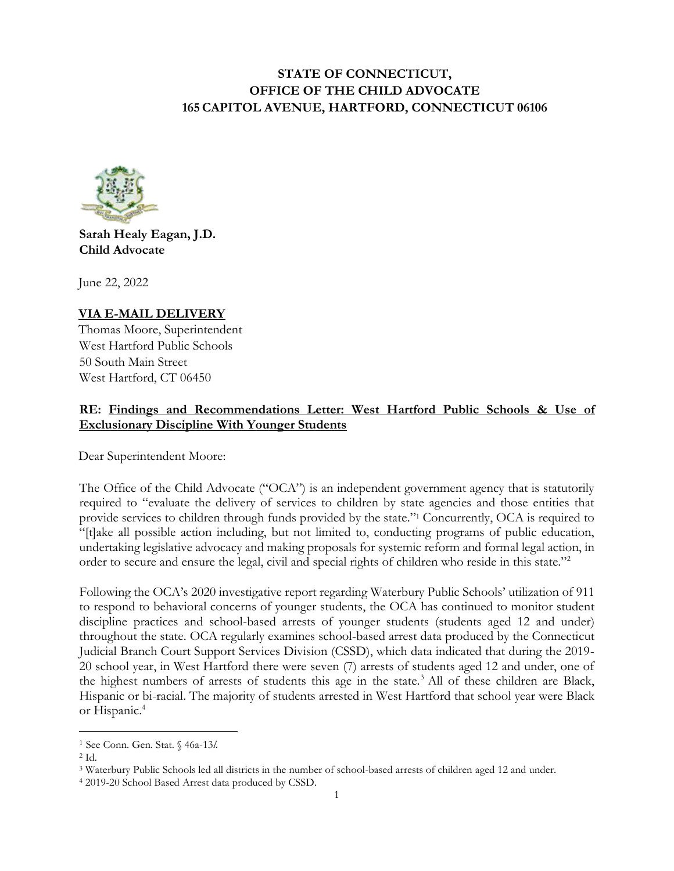# **STATE OF CONNECTICUT, OFFICE OF THE CHILD ADVOCATE 165CAPITOL AVENUE, HARTFORD, CONNECTICUT 06106**



## **Sarah Healy Eagan, J.D. Child Advocate**

June 22, 2022

**VIA E-MAIL DELIVERY** Thomas Moore, Superintendent West Hartford Public Schools 50 South Main Street West Hartford, CT 06450

# **RE: Findings and Recommendations Letter: West Hartford Public Schools & Use of Exclusionary Discipline With Younger Students**

Dear Superintendent Moore:

The Office of the Child Advocate ("OCA") is an independent government agency that is statutorily required to "evaluate the delivery of services to children by state agencies and those entities that provide services to children through funds provided by the state."<sup>1</sup> Concurrently, OCA is required to "[t]ake all possible action including, but not limited to, conducting programs of public education, undertaking legislative advocacy and making proposals for systemic reform and formal legal action, in order to secure and ensure the legal, civil and special rights of children who reside in this state."<sup>2</sup>

Following the OCA's 2020 investigative report regarding Waterbury Public Schools' utilization of 911 to respond to behavioral concerns of younger students, the OCA has continued to monitor student discipline practices and school-based arrests of younger students (students aged 12 and under) throughout the state. OCA regularly examines school-based arrest data produced by the Connecticut Judicial Branch Court Support Services Division (CSSD), which data indicated that during the 2019- 20 school year, in West Hartford there were seven (7) arrests of students aged 12 and under, one of the highest numbers of arrests of students this age in the state.<sup>3</sup> All of these children are Black, Hispanic or bi-racial. The majority of students arrested in West Hartford that school year were Black or Hispanic.<sup>4</sup>

<sup>1</sup> See Conn. Gen. Stat. § 46a-13*l*.

<sup>2</sup> Id.

<sup>3</sup> Waterbury Public Schools led all districts in the number of school-based arrests of children aged 12 and under.

<sup>4</sup> 2019-20 School Based Arrest data produced by CSSD.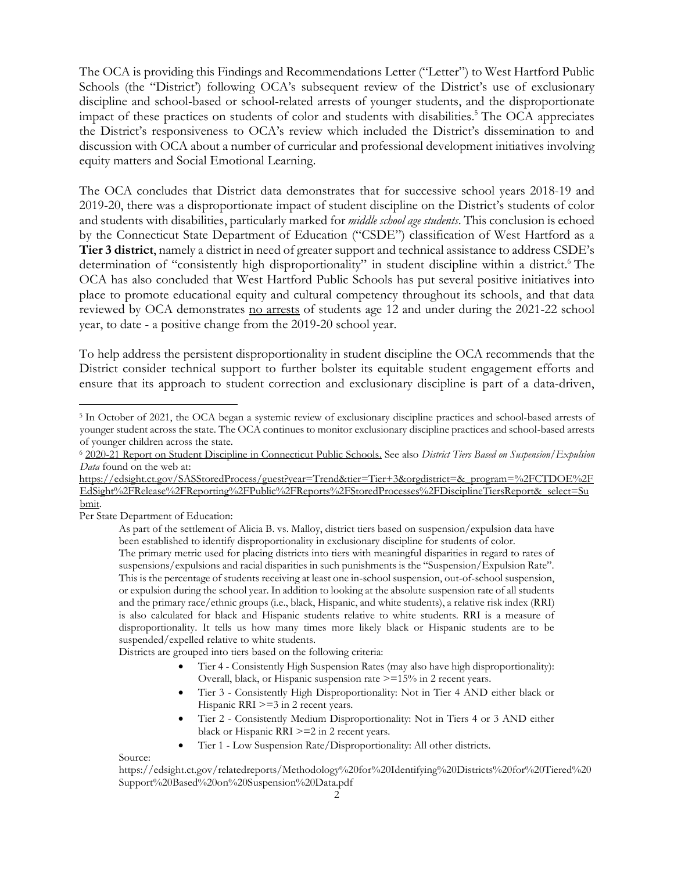The OCA is providing this Findings and Recommendations Letter ("Letter") to West Hartford Public Schools (the "District') following OCA's subsequent review of the District's use of exclusionary discipline and school-based or school-related arrests of younger students, and the disproportionate impact of these practices on students of color and students with disabilities. <sup>5</sup> The OCA appreciates the District's responsiveness to OCA's review which included the District's dissemination to and discussion with OCA about a number of curricular and professional development initiatives involving equity matters and Social Emotional Learning.

The OCA concludes that District data demonstrates that for successive school years 2018-19 and 2019-20, there was a disproportionate impact of student discipline on the District's students of color and students with disabilities, particularly marked for *middle school age students*. This conclusion is echoed by the Connecticut State Department of Education ("CSDE") classification of West Hartford as a **Tier 3 district**, namely a district in need of greater support and technical assistance to address CSDE's determination of "consistently high disproportionality" in student discipline within a district. <sup>6</sup> The OCA has also concluded that West Hartford Public Schools has put several positive initiatives into place to promote educational equity and cultural competency throughout its schools, and that data reviewed by OCA demonstrates no arrests of students age 12 and under during the 2021-22 school year, to date - a positive change from the 2019-20 school year.

To help address the persistent disproportionality in student discipline the OCA recommends that the District consider technical support to further bolster its equitable student engagement efforts and ensure that its approach to student correction and exclusionary discipline is part of a data-driven,

[https://edsight.ct.gov/SASStoredProcess/guest?year=Trend&tier=Tier+3&orgdistrict=&\\_program=%2FCTDOE%2F](https://edsight.ct.gov/SASStoredProcess/guest?year=Trend&tier=Tier+3&orgdistrict=&_program=%2FCTDOE%2FEdSight%2FRelease%2FReporting%2FPublic%2FReports%2FStoredProcesses%2FDisciplineTiersReport&_select=Submit) [EdSight%2FRelease%2FReporting%2FPublic%2FReports%2FStoredProcesses%2FDisciplineTiersReport&\\_select=Su](https://edsight.ct.gov/SASStoredProcess/guest?year=Trend&tier=Tier+3&orgdistrict=&_program=%2FCTDOE%2FEdSight%2FRelease%2FReporting%2FPublic%2FReports%2FStoredProcesses%2FDisciplineTiersReport&_select=Submit) [bmit.](https://edsight.ct.gov/SASStoredProcess/guest?year=Trend&tier=Tier+3&orgdistrict=&_program=%2FCTDOE%2FEdSight%2FRelease%2FReporting%2FPublic%2FReports%2FStoredProcesses%2FDisciplineTiersReport&_select=Submit) 

Per State Department of Education:

Districts are grouped into tiers based on the following criteria:

- Tier 4 Consistently High Suspension Rates (may also have high disproportionality): Overall, black, or Hispanic suspension rate >=15% in 2 recent years.
- Tier 3 Consistently High Disproportionality: Not in Tier 4 AND either black or Hispanic RRI  $>=$  3 in 2 recent years.
- Tier 2 Consistently Medium Disproportionality: Not in Tiers 4 or 3 AND either black or Hispanic RRI >=2 in 2 recent years.
- Tier 1 Low Suspension Rate/Disproportionality: All other districts.

Source:

<sup>5</sup> In October of 2021, the OCA began a systemic review of exclusionary discipline practices and school-based arrests of younger student across the state. The OCA continues to monitor exclusionary discipline practices and school-based arrests of younger children across the state.

<sup>6</sup> [2020-21 Report on Student Discipline in Connecticut Public Schools.](https://portal.ct.gov/-/media/SDE/Board/BoardMaterials040622/2020_2021_Report_on_Student_Discipline_in_Connecticut_Public_Schools.pdf) See also *District Tiers Based on Suspension/Expulsion Data* found on the web at:

As part of the settlement of Alicia B. vs. Malloy, district tiers based on suspension/expulsion data have been established to identify disproportionality in exclusionary discipline for students of color.

The primary metric used for placing districts into tiers with meaningful disparities in regard to rates of suspensions/expulsions and racial disparities in such punishments is the "Suspension/Expulsion Rate". This is the percentage of students receiving at least one in-school suspension, out-of-school suspension, or expulsion during the school year. In addition to looking at the absolute suspension rate of all students and the primary race/ethnic groups (i.e., black, Hispanic, and white students), a relative risk index (RRI) is also calculated for black and Hispanic students relative to white students. RRI is a measure of disproportionality. It tells us how many times more likely black or Hispanic students are to be suspended/expelled relative to white students.

https://edsight.ct.gov/relatedreports/Methodology%20for%20Identifying%20Districts%20for%20Tiered%20 Support%20Based%20on%20Suspension%20Data.pdf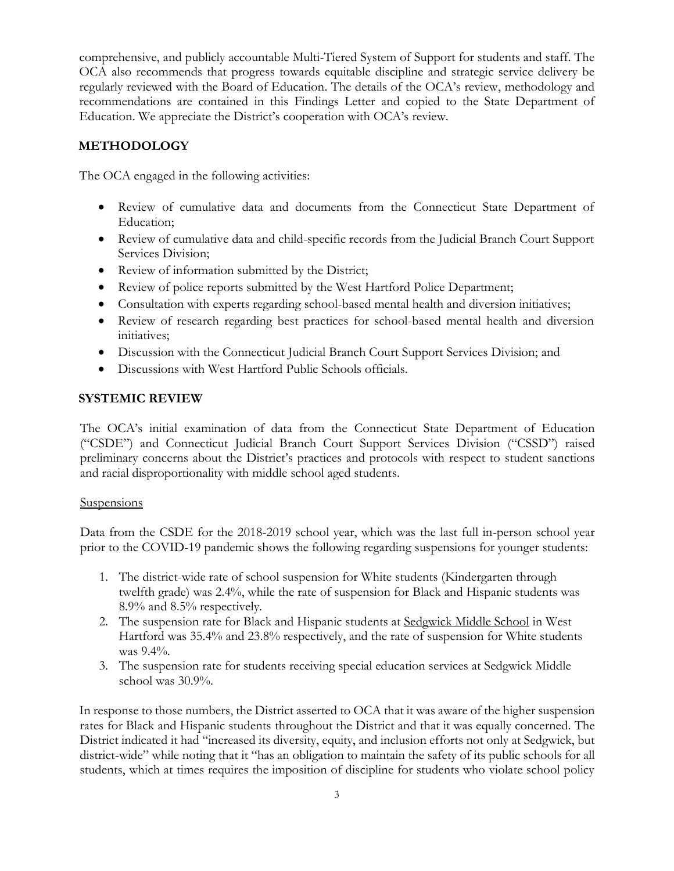comprehensive, and publicly accountable Multi-Tiered System of Support for students and staff. The OCA also recommends that progress towards equitable discipline and strategic service delivery be regularly reviewed with the Board of Education. The details of the OCA's review, methodology and recommendations are contained in this Findings Letter and copied to the State Department of Education. We appreciate the District's cooperation with OCA's review.

## **METHODOLOGY**

The OCA engaged in the following activities:

- Review of cumulative data and documents from the Connecticut State Department of Education;
- Review of cumulative data and child-specific records from the Judicial Branch Court Support Services Division;
- Review of information submitted by the District;
- Review of police reports submitted by the West Hartford Police Department;
- Consultation with experts regarding school-based mental health and diversion initiatives;
- Review of research regarding best practices for school-based mental health and diversion initiatives;
- Discussion with the Connecticut Judicial Branch Court Support Services Division; and
- Discussions with West Hartford Public Schools officials.

## **SYSTEMIC REVIEW**

The OCA's initial examination of data from the Connecticut State Department of Education ("CSDE") and Connecticut Judicial Branch Court Support Services Division ("CSSD") raised preliminary concerns about the District's practices and protocols with respect to student sanctions and racial disproportionality with middle school aged students.

#### **Suspensions**

Data from the CSDE for the 2018-2019 school year, which was the last full in-person school year prior to the COVID-19 pandemic shows the following regarding suspensions for younger students:

- 1. The district-wide rate of school suspension for White students (Kindergarten through twelfth grade) was 2.4%, while the rate of suspension for Black and Hispanic students was 8.9% and 8.5% respectively.
- 2. The suspension rate for Black and Hispanic students at Sedgwick Middle School in West Hartford was 35.4% and 23.8% respectively, and the rate of suspension for White students was  $9.4\%$ .
- 3. The suspension rate for students receiving special education services at Sedgwick Middle school was 30.9%.

In response to those numbers, the District asserted to OCA that it was aware of the higher suspension rates for Black and Hispanic students throughout the District and that it was equally concerned. The District indicated it had "increased its diversity, equity, and inclusion efforts not only at Sedgwick, but district-wide" while noting that it "has an obligation to maintain the safety of its public schools for all students, which at times requires the imposition of discipline for students who violate school policy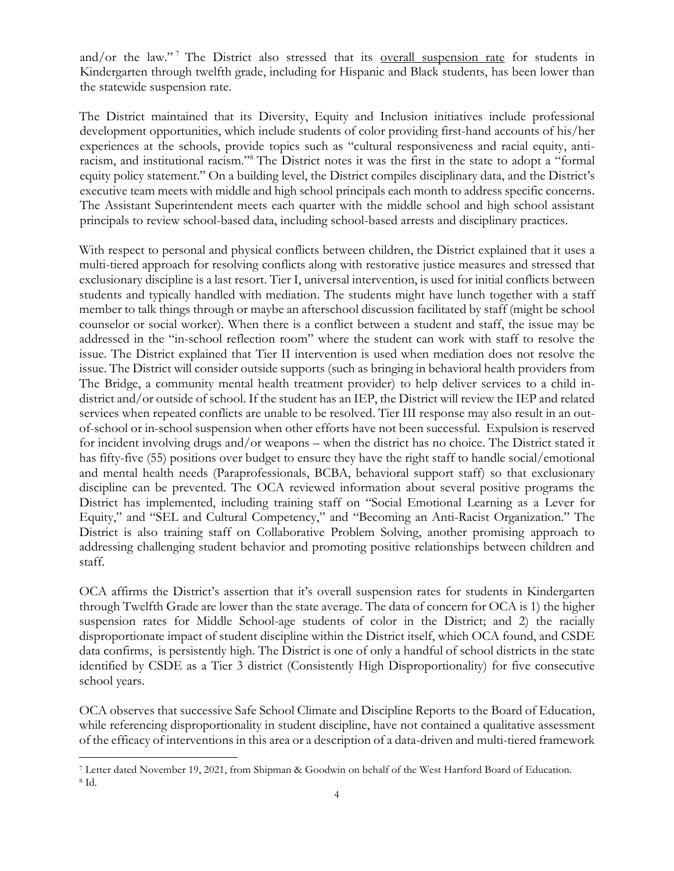and/or the law."<sup>7</sup> The District also stressed that its overall suspension rate for students in Kindergarten through twelfth grade, including for Hispanic and Black students, has been lower than the statewide suspension rate.

The District maintained that its Diversity, Equity and Inclusion initiatives include professional development opportunities, which include students of color providing first-hand accounts of his/her experiences at the schools, provide topics such as "cultural responsiveness and racial equity, antiracism, and institutional racism."<sup>8</sup> The District notes it was the first in the state to adopt a "formal equity policy statement." On a building level, the District compiles disciplinary data, and the District's executive team meets with middle and high school principals each month to address specific concerns. The Assistant Superintendent meets each quarter with the middle school and high school assistant principals to review school-based data, including school-based arrests and disciplinary practices.

With respect to personal and physical conflicts between children, the District explained that it uses a multi-tiered approach for resolving conflicts along with restorative justice measures and stressed that exclusionary discipline is a last resort. Tier I, universal intervention, is used for initial conflicts between students and typically handled with mediation. The students might have lunch together with a staff member to talk things through or maybe an afterschool discussion facilitated by staff (might be school counselor or social worker). When there is a conflict between a student and staff, the issue may be addressed in the "in-school reflection room" where the student can work with staff to resolve the issue. The District explained that Tier II intervention is used when mediation does not resolve the issue. The District will consider outside supports (such as bringing in behavioral health providers from The Bridge, a community mental health treatment provider) to help deliver services to a child indistrict and/or outside of school. If the student has an IEP, the District will review the IEP and related services when repeated conflicts are unable to be resolved. Tier III response may also result in an outof-school or in-school suspension when other efforts have not been successful. Expulsion is reserved for incident involving drugs and/or weapons – when the district has no choice. The District stated it has fifty-five (55) positions over budget to ensure they have the right staff to handle social/emotional and mental health needs (Paraprofessionals, BCBA, behavioral support staff) so that exclusionary discipline can be prevented. The OCA reviewed information about several positive programs the District has implemented, including training staff on "Social Emotional Learning as a Lever for Equity," and "SEL and Cultural Competency," and "Becoming an Anti-Racist Organization." The District is also training staff on Collaborative Problem Solving, another promising approach to addressing challenging student behavior and promoting positive relationships between children and staff.

OCA affirms the District's assertion that it's overall suspension rates for students in Kindergarten through Twelfth Grade are lower than the state average. The data of concern for OCA is 1) the higher suspension rates for Middle School-age students of color in the District; and 2) the racially disproportionate impact of student discipline within the District itself, which OCA found, and CSDE data confirms, is persistently high. The District is one of only a handful of school districts in the state identified by CSDE as a Tier 3 district (Consistently High Disproportionality) for five consecutive school years.

OCA observes that successive Safe School Climate and Discipline Reports to the Board of Education, while referencing disproportionality in student discipline, have not contained a qualitative assessment of the efficacy of interventions in this area or a description of a data-driven and multi-tiered framework

<sup>7</sup> Letter dated November 19, 2021, from Shipman & Goodwin on behalf of the West Hartford Board of Education. <sup>8</sup> Id.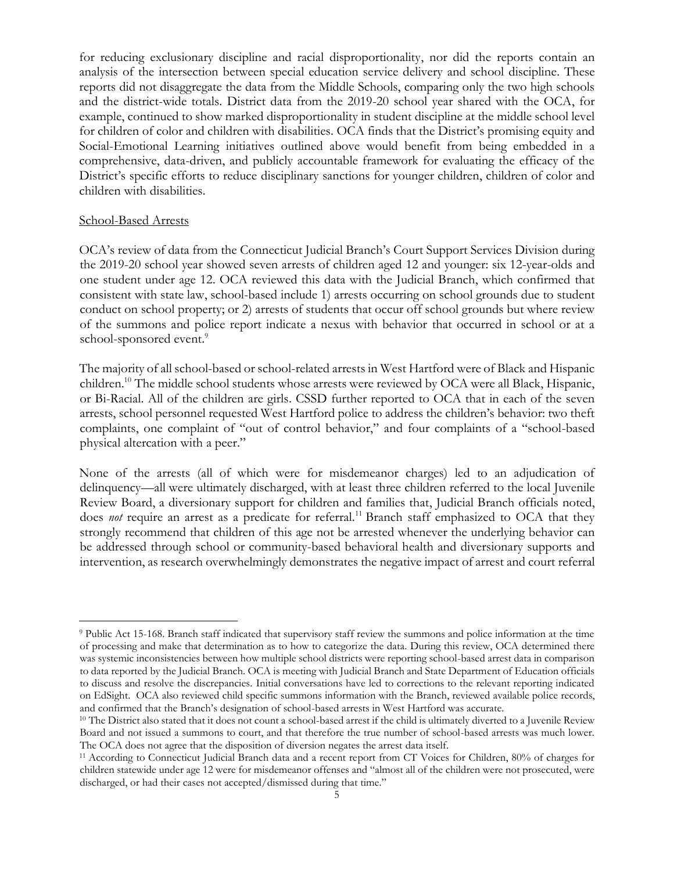for reducing exclusionary discipline and racial disproportionality, nor did the reports contain an analysis of the intersection between special education service delivery and school discipline. These reports did not disaggregate the data from the Middle Schools, comparing only the two high schools and the district-wide totals. District data from the 2019-20 school year shared with the OCA, for example, continued to show marked disproportionality in student discipline at the middle school level for children of color and children with disabilities. OCA finds that the District's promising equity and Social-Emotional Learning initiatives outlined above would benefit from being embedded in a comprehensive, data-driven, and publicly accountable framework for evaluating the efficacy of the District's specific efforts to reduce disciplinary sanctions for younger children, children of color and children with disabilities.

#### School-Based Arrests

OCA's review of data from the Connecticut Judicial Branch's Court Support Services Division during the 2019-20 school year showed seven arrests of children aged 12 and younger: six 12-year-olds and one student under age 12. OCA reviewed this data with the Judicial Branch, which confirmed that consistent with state law, school-based include 1) arrests occurring on school grounds due to student conduct on school property; or 2) arrests of students that occur off school grounds but where review of the summons and police report indicate a nexus with behavior that occurred in school or at a school-sponsored event.<sup>9</sup>

The majority of all school-based or school-related arrests in West Hartford were of Black and Hispanic children.<sup>10</sup> The middle school students whose arrests were reviewed by OCA were all Black, Hispanic, or Bi-Racial. All of the children are girls. CSSD further reported to OCA that in each of the seven arrests, school personnel requested West Hartford police to address the children's behavior: two theft complaints, one complaint of "out of control behavior," and four complaints of a "school-based physical altercation with a peer."

None of the arrests (all of which were for misdemeanor charges) led to an adjudication of delinquency—all were ultimately discharged, with at least three children referred to the local Juvenile Review Board, a diversionary support for children and families that, Judicial Branch officials noted, does *not* require an arrest as a predicate for referral.<sup>11</sup> Branch staff emphasized to OCA that they strongly recommend that children of this age not be arrested whenever the underlying behavior can be addressed through school or community-based behavioral health and diversionary supports and intervention, as research overwhelmingly demonstrates the negative impact of arrest and court referral

<sup>9</sup> Public Act 15-168. Branch staff indicated that supervisory staff review the summons and police information at the time of processing and make that determination as to how to categorize the data. During this review, OCA determined there was systemic inconsistencies between how multiple school districts were reporting school-based arrest data in comparison to data reported by the Judicial Branch. OCA is meeting with Judicial Branch and State Department of Education officials to discuss and resolve the discrepancies. Initial conversations have led to corrections to the relevant reporting indicated on EdSight. OCA also reviewed child specific summons information with the Branch, reviewed available police records, and confirmed that the Branch's designation of school-based arrests in West Hartford was accurate.

<sup>&</sup>lt;sup>10</sup> The District also stated that it does not count a school-based arrest if the child is ultimately diverted to a Juvenile Review Board and not issued a summons to court, and that therefore the true number of school-based arrests was much lower. The OCA does not agree that the disposition of diversion negates the arrest data itself.

<sup>11</sup> According to Connecticut Judicial Branch data and a recent report from CT Voices for Children, 80% of charges for children statewide under age 12 were for misdemeanor offenses and "almost all of the children were not prosecuted, were discharged, or had their cases not accepted/dismissed during that time."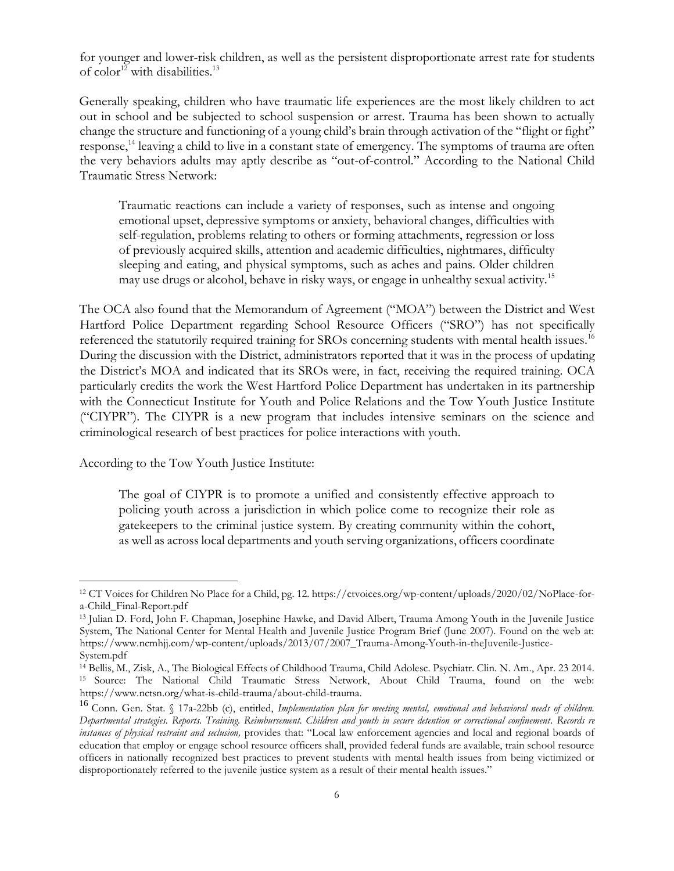for younger and lower-risk children, as well as the persistent disproportionate arrest rate for students of  $color^{12}$  with disabilities.<sup>13</sup>

Generally speaking, children who have traumatic life experiences are the most likely children to act out in school and be subjected to school suspension or arrest. Trauma has been shown to actually change the structure and functioning of a young child's brain through activation of the "flight or fight" response,<sup>14</sup> leaving a child to live in a constant state of emergency. The symptoms of trauma are often the very behaviors adults may aptly describe as "out-of-control." According to the National Child Traumatic Stress Network:

Traumatic reactions can include a variety of responses, such as intense and ongoing emotional upset, depressive symptoms or anxiety, behavioral changes, difficulties with self-regulation, problems relating to others or forming attachments, regression or loss of previously acquired skills, attention and academic difficulties, nightmares, difficulty sleeping and eating, and physical symptoms, such as aches and pains. Older children may use drugs or alcohol, behave in risky ways, or engage in unhealthy sexual activity.<sup>15</sup>

The OCA also found that the Memorandum of Agreement ("MOA") between the District and West Hartford Police Department regarding School Resource Officers ("SRO") has not specifically referenced the statutorily required training for SROs concerning students with mental health issues.<sup>16</sup> During the discussion with the District, administrators reported that it was in the process of updating the District's MOA and indicated that its SROs were, in fact, receiving the required training. OCA particularly credits the work the West Hartford Police Department has undertaken in its partnership with the Connecticut Institute for Youth and Police Relations and the Tow Youth Justice Institute ("CIYPR"). The CIYPR is a new program that includes intensive seminars on the science and criminological research of best practices for police interactions with youth.

According to the Tow Youth Justice Institute:

The goal of CIYPR is to promote a unified and consistently effective approach to policing youth across a jurisdiction in which police come to recognize their role as gatekeepers to the criminal justice system. By creating community within the cohort, as well as across local departments and youth serving organizations, officers coordinate

<sup>12</sup> CT Voices for Children No Place for a Child, pg. 12. https://ctvoices.org/wp-content/uploads/2020/02/NoPlace-fora-Child\_Final-Report.pdf

<sup>13</sup> Julian D. Ford, John F. Chapman, Josephine Hawke, and David Albert, Trauma Among Youth in the Juvenile Justice System, The National Center for Mental Health and Juvenile Justice Program Brief (June 2007). Found on the web at: https://www.ncmhjj.com/wp-content/uploads/2013/07/2007\_Trauma-Among-Youth-in-theJuvenile-Justice-System.pdf

<sup>14</sup> Bellis, M., Zisk, A., The Biological Effects of Childhood Trauma, Child Adolesc. Psychiatr. Clin. N. Am., Apr. 23 2014. <sup>15</sup> Source: The National Child Traumatic Stress Network, About Child Trauma, found on the web: https://www.nctsn.org/what-is-child-trauma/about-child-trauma.

<sup>16</sup> Conn. Gen. Stat. § 17a-22bb (c), entitled, *Implementation plan for meeting mental, emotional and behavioral needs of children. Departmental strategies. Reports. Training. Reimbursement. Children and youth in secure detention or correctional confinement. Records re instances of physical restraint and seclusion,* provides that: "Local law enforcement agencies and local and regional boards of education that employ or engage school resource officers shall, provided federal funds are available, train school resource officers in nationally recognized best practices to prevent students with mental health issues from being victimized or disproportionately referred to the juvenile justice system as a result of their mental health issues."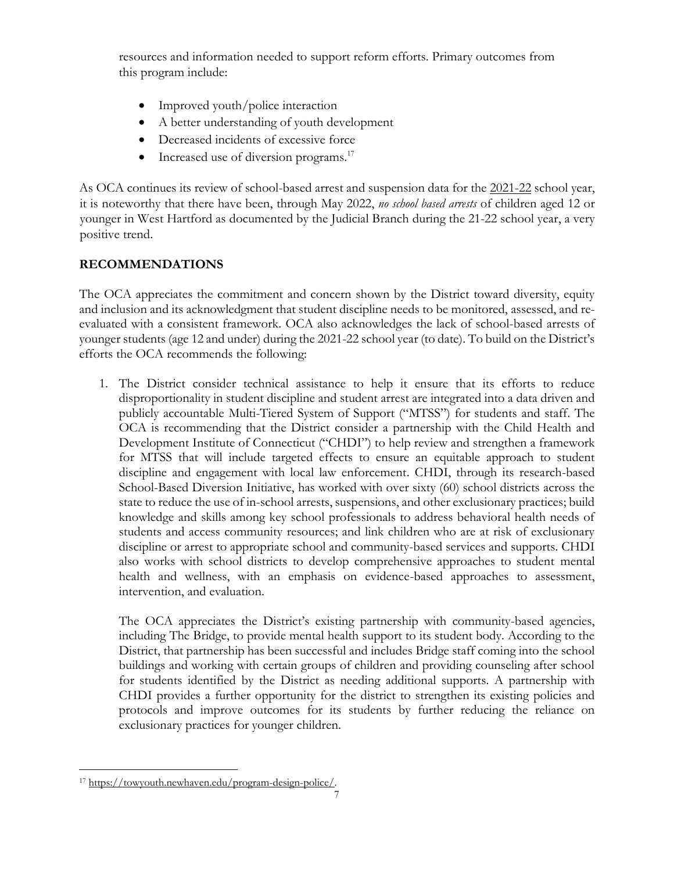resources and information needed to support reform efforts. Primary outcomes from this program include:

- Improved youth/police interaction
- A better understanding of youth development
- Decreased incidents of excessive force
- $\bullet$  Increased use of diversion programs.<sup>17</sup>

As OCA continues its review of school-based arrest and suspension data for the 2021-22 school year, it is noteworthy that there have been, through May 2022, *no school based arrests* of children aged 12 or younger in West Hartford as documented by the Judicial Branch during the 21-22 school year, a very positive trend.

## **RECOMMENDATIONS**

The OCA appreciates the commitment and concern shown by the District toward diversity, equity and inclusion and its acknowledgment that student discipline needs to be monitored, assessed, and reevaluated with a consistent framework. OCA also acknowledges the lack of school-based arrests of younger students (age 12 and under) during the 2021-22 school year (to date). To build on the District's efforts the OCA recommends the following:

1. The District consider technical assistance to help it ensure that its efforts to reduce disproportionality in student discipline and student arrest are integrated into a data driven and publicly accountable Multi-Tiered System of Support ("MTSS") for students and staff. The OCA is recommending that the District consider a partnership with the Child Health and Development Institute of Connecticut ("CHDI") to help review and strengthen a framework for MTSS that will include targeted effects to ensure an equitable approach to student discipline and engagement with local law enforcement. CHDI, through its research-based School-Based Diversion Initiative, has worked with over sixty (60) school districts across the state to reduce the use of in-school arrests, suspensions, and other exclusionary practices; build knowledge and skills among key school professionals to address behavioral health needs of students and access community resources; and link children who are at risk of exclusionary discipline or arrest to appropriate school and community-based services and supports. CHDI also works with school districts to develop comprehensive approaches to student mental health and wellness, with an emphasis on evidence-based approaches to assessment, intervention, and evaluation.

The OCA appreciates the District's existing partnership with community-based agencies, including The Bridge, to provide mental health support to its student body. According to the District, that partnership has been successful and includes Bridge staff coming into the school buildings and working with certain groups of children and providing counseling after school for students identified by the District as needing additional supports. A partnership with CHDI provides a further opportunity for the district to strengthen its existing policies and protocols and improve outcomes for its students by further reducing the reliance on exclusionary practices for younger children.

<sup>17</sup> [https://towyouth.newhaven.edu/program-design-police/.](https://towyouth.newhaven.edu/program-design-police/)